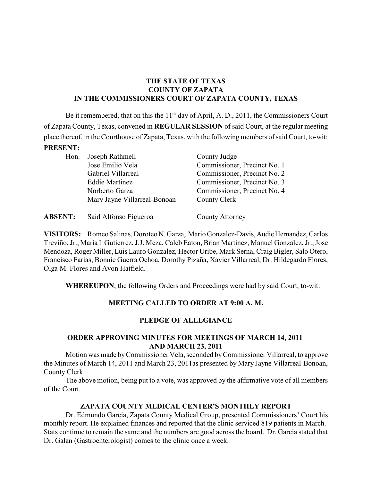## **THE STATE OF TEXAS COUNTY OF ZAPATA IN THE COMMISSIONERS COURT OF ZAPATA COUNTY, TEXAS**

Be it remembered, that on this the  $11<sup>th</sup>$  day of April, A. D., 2011, the Commissioners Court of Zapata County, Texas, convened in **REGULAR SESSION** of said Court, at the regular meeting place thereof, in the Courthouse of Zapata, Texas, with the following members of said Court, to-wit: **PRESENT:**

| Hon. | Joseph Rathmell              | County Judge                 |
|------|------------------------------|------------------------------|
|      | Jose Emilio Vela             | Commissioner, Precinct No. 1 |
|      | Gabriel Villarreal           | Commissioner, Precinct No. 2 |
|      | <b>Eddie Martinez</b>        | Commissioner, Precinct No. 3 |
|      | Norberto Garza               | Commissioner, Precinct No. 4 |
|      | Mary Jayne Villarreal-Bonoan | County Clerk                 |
|      |                              |                              |

| <b>ABSENT:</b> | Saíd Alfonso Figueroa | County Attorney |
|----------------|-----------------------|-----------------|
|----------------|-----------------------|-----------------|

**VISITORS:** Romeo Salinas, Doroteo N. Garza, Mario Gonzalez-Davis, Audie Hernandez, Carlos Treviño, Jr., Maria I. Gutierrez, J.J. Meza, Caleb Eaton, Brian Martinez, Manuel Gonzalez, Jr., Jose Mendoza, Roger Miller, Luis Lauro Gonzalez, Hector Uribe, Mark Serna, Craig Bigler, Salo Otero, Francisco Farias, Bonnie Guerra Ochoa, Dorothy Pizaña, Xavier Villarreal, Dr. Hildegardo Flores, Olga M. Flores and Avon Hatfield.

**WHEREUPON**, the following Orders and Proceedings were had by said Court, to-wit:

# **MEETING CALLED TO ORDER AT 9:00 A. M.**

## **PLEDGE OF ALLEGIANCE**

## **ORDER APPROVING MINUTES FOR MEETINGS OF MARCH 14, 2011 AND MARCH 23, 2011**

Motion was made byCommissioner Vela, seconded byCommissioner Villarreal, to approve the Minutes of March 14, 2011 and March 23, 2011as presented by Mary Jayne Villarreal-Bonoan, County Clerk.

The above motion, being put to a vote, was approved by the affirmative vote of all members of the Court.

## **ZAPATA COUNTY MEDICAL CENTER'S MONTHLY REPORT**

Dr. Edmundo Garcia, Zapata County Medical Group, presented Commissioners' Court his monthly report. He explained finances and reported that the clinic serviced 819 patients in March. Stats continue to remain the same and the numbers are good across the board. Dr. Garcia stated that Dr. Galan (Gastroenterologist) comes to the clinic once a week.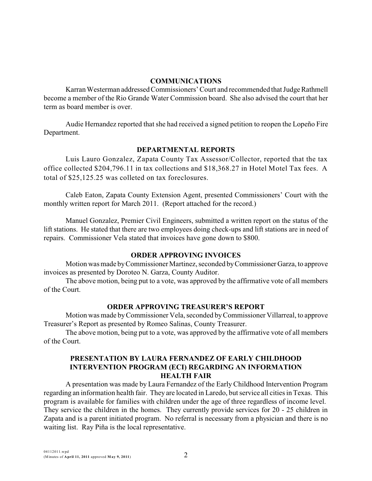#### **COMMUNICATIONS**

Karran Westerman addressed Commissioners' Court and recommended that Judge Rathmell become a member of the Rio Grande Water Commission board. She also advised the court that her term as board member is over.

Audie Hernandez reported that she had received a signed petition to reopen the Lopeño Fire Department.

## **DEPARTMENTAL REPORTS**

Luis Lauro Gonzalez, Zapata County Tax Assessor/Collector, reported that the tax office collected \$204,796.11 in tax collections and \$18,368.27 in Hotel Motel Tax fees. A total of \$25,125.25 was colleted on tax foreclosures.

Caleb Eaton, Zapata County Extension Agent, presented Commissioners' Court with the monthly written report for March 2011. (Report attached for the record.)

Manuel Gonzalez, Premier Civil Engineers, submitted a written report on the status of the lift stations. He stated that there are two employees doing check-ups and lift stations are in need of repairs. Commissioner Vela stated that invoices have gone down to \$800.

## **ORDER APPROVING INVOICES**

Motion was made byCommissioner Martinez, seconded byCommissioner Garza, to approve invoices as presented by Doroteo N. Garza, County Auditor.

The above motion, being put to a vote, was approved by the affirmative vote of all members of the Court.

## **ORDER APPROVING TREASURER'S REPORT**

Motion was made byCommissioner Vela, seconded byCommissioner Villarreal, to approve Treasurer's Report as presented by Romeo Salinas, County Treasurer.

The above motion, being put to a vote, was approved by the affirmative vote of all members of the Court.

## **PRESENTATION BY LAURA FERNANDEZ OF EARLY CHILDHOOD INTERVENTION PROGRAM (ECI) REGARDING AN INFORMATION HEALTH FAIR**

A presentation was made by Laura Fernandez of the Early Childhood Intervention Program regarding an information health fair. They are located in Laredo, but service all cities in Texas. This program is available for families with children under the age of three regardless of income level. They service the children in the homes. They currently provide services for 20 - 25 children in Zapata and is a parent initiated program. No referral is necessary from a physician and there is no waiting list. Ray Piña is the local representative.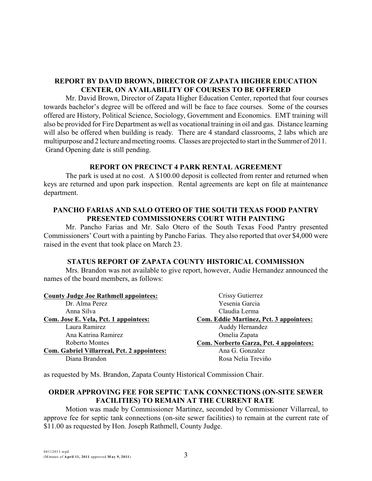## **REPORT BY DAVID BROWN, DIRECTOR OF ZAPATA HIGHER EDUCATION CENTER, ON AVAILABILITY OF COURSES TO BE OFFERED**

Mr. David Brown, Director of Zapata Higher Education Center, reported that four courses towards bachelor's degree will be offered and will be face to face courses. Some of the courses offered are History, Political Science, Sociology, Government and Economics. EMT training will also be provided for Fire Department as well as vocational training in oil and gas. Distance learning will also be offered when building is ready. There are 4 standard classrooms, 2 labs which are multipurpose and 2 lecture and meeting rooms. Classes are projected to start in the Summer of 2011. Grand Opening date is still pending.

### **REPORT ON PRECINCT 4 PARK RENTAL AGREEMENT**

The park is used at no cost. A \$100.00 deposit is collected from renter and returned when keys are returned and upon park inspection. Rental agreements are kept on file at maintenance department.

### **PANCHO FARIAS AND SALO OTERO OF THE SOUTH TEXAS FOOD PANTRY PRESENTED COMMISSIONERS COURT WITH PAINTING**

Mr. Pancho Farias and Mr. Salo Otero of the South Texas Food Pantry presented Commissioners' Court with a painting by Pancho Farias. They also reported that over \$4,000 were raised in the event that took place on March 23.

## **STATUS REPORT OF ZAPATA COUNTY HISTORICAL COMMISSION**

Mrs. Brandon was not available to give report, however, Audie Hernandez announced the names of the board members, as follows:

| <b>County Judge Joe Rathmell appointees:</b> | Crissy Gutierrez                               |
|----------------------------------------------|------------------------------------------------|
| Dr. Alma Perez                               | Yesenia Garcia                                 |
| Anna Silva                                   | Claudia Lerma                                  |
| Com. Jose E. Vela, Pct. 1 appointees:        | <b>Com. Eddie Martinez, Pct. 3 appointees:</b> |
| Laura Ramirez                                | Auddy Hernandez                                |
| Ana Katrina Ramirez                          | Omelia Zapata                                  |
| Roberto Montes                               | Com. Norberto Garza, Pct. 4 appointees:        |
| Com. Gabriel Villarreal, Pct. 2 appointees:  | Ana G. Gonzalez                                |
| Diana Brandon                                | Rosa Nelia Treviño                             |

as requested by Ms. Brandon, Zapata County Historical Commission Chair.

# **ORDER APPROVING FEE FOR SEPTIC TANK CONNECTIONS (ON-SITE SEWER FACILITIES) TO REMAIN AT THE CURRENT RATE**

Motion was made by Commissioner Martinez, seconded by Commissioner Villarreal, to approve fee for septic tank connections (on-site sewer facilities) to remain at the current rate of \$11.00 as requested by Hon. Joseph Rathmell, County Judge.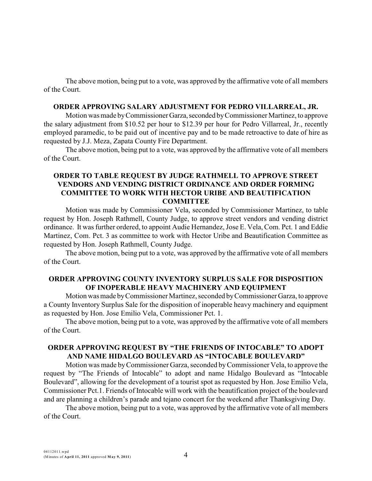The above motion, being put to a vote, was approved by the affirmative vote of all members of the Court.

#### **ORDER APPROVING SALARY ADJUSTMENT FOR PEDRO VILLARREAL, JR.**

Motion was made byCommissioner Garza,seconded byCommissioner Martinez, to approve the salary adjustment from \$10.52 per hour to \$12.39 per hour for Pedro Villarreal, Jr., recently employed paramedic, to be paid out of incentive pay and to be made retroactive to date of hire as requested by J.J. Meza, Zapata County Fire Department.

The above motion, being put to a vote, was approved by the affirmative vote of all members of the Court.

### **ORDER TO TABLE REQUEST BY JUDGE RATHMELL TO APPROVE STREET VENDORS AND VENDING DISTRICT ORDINANCE AND ORDER FORMING COMMITTEE TO WORK WITH HECTOR URIBE AND BEAUTIFICATION COMMITTEE**

Motion was made by Commissioner Vela, seconded by Commissioner Martinez, to table request by Hon. Joseph Rathmell, County Judge, to approve street vendors and vending district ordinance. It was further ordered, to appoint Audie Hernandez, Jose E. Vela, Com. Pct. 1 and Eddie Martinez, Com. Pct. 3 as committee to work with Hector Uribe and Beautification Committee as requested by Hon. Joseph Rathmell, County Judge.

The above motion, being put to a vote, was approved by the affirmative vote of all members of the Court.

#### **ORDER APPROVING COUNTY INVENTORY SURPLUS SALE FOR DISPOSITION OF INOPERABLE HEAVY MACHINERY AND EQUIPMENT**

Motion was made byCommissioner Martinez, seconded byCommissioner Garza, to approve a County Inventory Surplus Sale for the disposition of inoperable heavy machinery and equipment as requested by Hon. Jose Emilio Vela, Commissioner Pct. 1.

The above motion, being put to a vote, was approved by the affirmative vote of all members of the Court.

#### **ORDER APPROVING REQUEST BY "THE FRIENDS OF INTOCABLE" TO ADOPT AND NAME HIDALGO BOULEVARD AS "INTOCABLE BOULEVARD"**

Motion was made byCommissioner Garza, seconded byCommissioner Vela, to approve the request by "The Friends of Intocable" to adopt and name Hidalgo Boulevard as "Intocable Boulevard", allowing for the development of a tourist spot as requested by Hon. Jose Emilio Vela, Commissioner Pct.1. Friends of Intocable will work with the beautification project of the boulevard and are planning a children's parade and tejano concert for the weekend after Thanksgiving Day.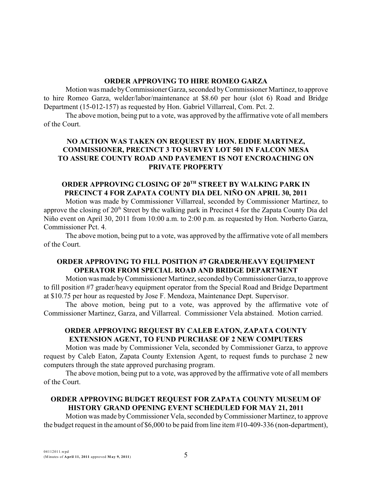#### **ORDER APPROVING TO HIRE ROMEO GARZA**

Motion was made byCommissioner Garza, seconded byCommissioner Martinez, to approve to hire Romeo Garza, welder/labor/maintenance at \$8.60 per hour (slot 6) Road and Bridge Department (15-012-157) as requested by Hon. Gabriel Villarreal, Com. Pct. 2.

The above motion, being put to a vote, was approved by the affirmative vote of all members of the Court.

## **NO ACTION WAS TAKEN ON REQUEST BY HON. EDDIE MARTINEZ, COMMISSIONER, PRECINCT 3 TO SURVEY LOT 501 IN FALCON MESA TO ASSURE COUNTY ROAD AND PAVEMENT IS NOT ENCROACHING ON PRIVATE PROPERTY**

# **ORDER APPROVING CLOSING OF 20TH STREET BY WALKING PARK IN PRECINCT 4 FOR ZAPATA COUNTY DIA DEL NIÑO ON APRIL 30, 2011**

Motion was made by Commissioner Villarreal, seconded by Commissioner Martinez, to approve the closing of 20<sup>th</sup> Street by the walking park in Precinct 4 for the Zapata County Dia del Niño event on April 30, 2011 from 10:00 a.m. to 2:00 p.m. as requested by Hon. Norberto Garza, Commissioner Pct. 4.

The above motion, being put to a vote, was approved by the affirmative vote of all members of the Court.

## **ORDER APPROVING TO FILL POSITION #7 GRADER/HEAVY EQUIPMENT OPERATOR FROM SPECIAL ROAD AND BRIDGE DEPARTMENT**

Motion wasmade byCommissioner Martinez, seconded byCommissioner Garza, to approve to fill position #7 grader/heavy equipment operator from the Special Road and Bridge Department at \$10.75 per hour as requested by Jose F. Mendoza, Maintenance Dept. Supervisor.

The above motion, being put to a vote, was approved by the affirmative vote of Commissioner Martinez, Garza, and Villarreal. Commissioner Vela abstained. Motion carried.

## **ORDER APPROVING REQUEST BY CALEB EATON, ZAPATA COUNTY EXTENSION AGENT, TO FUND PURCHASE OF 2 NEW COMPUTERS**

Motion was made by Commissioner Vela, seconded by Commissioner Garza, to approve request by Caleb Eaton, Zapata County Extension Agent, to request funds to purchase 2 new computers through the state approved purchasing program.

The above motion, being put to a vote, was approved by the affirmative vote of all members of the Court.

## **ORDER APPROVING BUDGET REQUEST FOR ZAPATA COUNTY MUSEUM OF HISTORY GRAND OPENING EVENT SCHEDULED FOR MAY 21, 2011**

Motion was made byCommissioner Vela, seconded byCommissioner Martinez, to approve the budget request in the amount of \$6,000 to be paid from line item #10-409-336 (non-department),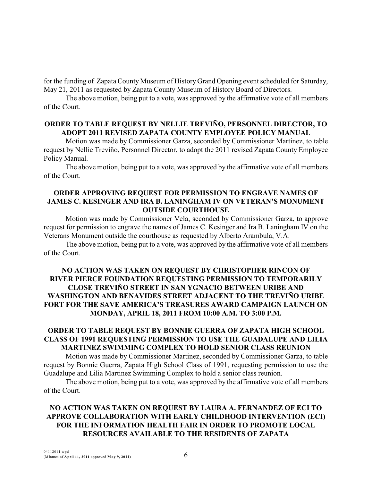for the funding of Zapata County Museum of History Grand Opening event scheduled for Saturday, May 21, 2011 as requested by Zapata County Museum of History Board of Directors.

The above motion, being put to a vote, was approved by the affirmative vote of all members of the Court.

#### **ORDER TO TABLE REQUEST BY NELLIE TREVIÑO, PERSONNEL DIRECTOR, TO ADOPT 2011 REVISED ZAPATA COUNTY EMPLOYEE POLICY MANUAL**

Motion was made by Commissioner Garza, seconded by Commissioner Martinez, to table request by Nellie Treviño, Personnel Director, to adopt the 2011 revised Zapata County Employee Policy Manual.

The above motion, being put to a vote, was approved by the affirmative vote of all members of the Court.

#### **ORDER APPROVING REQUEST FOR PERMISSION TO ENGRAVE NAMES OF JAMES C. KESINGER AND IRA B. LANINGHAM IV ON VETERAN'S MONUMENT OUTSIDE COURTHOUSE**

Motion was made by Commissioner Vela, seconded by Commissioner Garza, to approve request for permission to engrave the names of James C. Kesinger and Ira B. Laningham IV on the Veterans Monument outside the courthouse as requested by Alberto Arambula, V.A.

The above motion, being put to a vote, was approved by the affirmative vote of all members of the Court.

## **NO ACTION WAS TAKEN ON REQUEST BY CHRISTOPHER RINCON OF RIVER PIERCE FOUNDATION REQUESTING PERMISSION TO TEMPORARILY CLOSE TREVIÑO STREET IN SAN YGNACIO BETWEEN URIBE AND WASHINGTON AND BENAVIDES STREET ADJACENT TO THE TREVIÑO URIBE FORT FOR THE SAVE AMERICA'S TREASURES AWARD CAMPAIGN LAUNCH ON MONDAY, APRIL 18, 2011 FROM 10:00 A.M. TO 3:00 P.M.**

### **ORDER TO TABLE REQUEST BY BONNIE GUERRA OF ZAPATA HIGH SCHOOL CLASS OF 1991 REQUESTING PERMISSION TO USE THE GUADALUPE AND LILIA MARTINEZ SWIMMING COMPLEX TO HOLD SENIOR CLASS REUNION**

Motion was made by Commissioner Martinez, seconded by Commissioner Garza, to table request by Bonnie Guerra, Zapata High School Class of 1991, requesting permission to use the Guadalupe and Lilia Martinez Swimming Complex to hold a senior class reunion.

The above motion, being put to a vote, was approved by the affirmative vote of all members of the Court.

# **NO ACTION WAS TAKEN ON REQUEST BY LAURA A. FERNANDEZ OF ECI TO APPROVE COLLABORATION WITH EARLY CHILDHOOD INTERVENTION (ECI) FOR THE INFORMATION HEALTH FAIR IN ORDER TO PROMOTE LOCAL RESOURCES AVAILABLE TO THE RESIDENTS OF ZAPATA**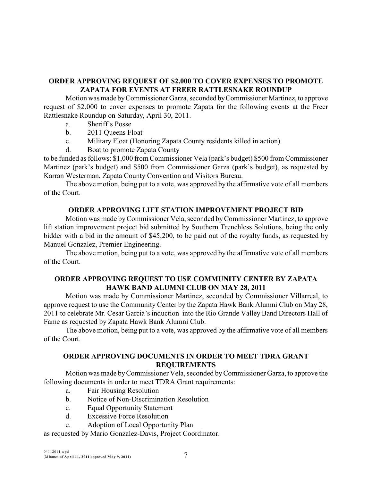## **ORDER APPROVING REQUEST OF \$2,000 TO COVER EXPENSES TO PROMOTE ZAPATA FOR EVENTS AT FREER RATTLESNAKE ROUNDUP**

Motion was made byCommissioner Garza, seconded byCommissioner Martinez, to approve request of \$2,000 to cover expenses to promote Zapata for the following events at the Freer Rattlesnake Roundup on Saturday, April 30, 2011.

- a. Sheriff's Posse
- b. 2011 Queens Float
- c. Military Float (Honoring Zapata County residents killed in action).
- d. Boat to promote Zapata County

to be funded as follows: \$1,000 from Commissioner Vela (park's budget) \$500 from Commissioner Martinez (park's budget) and \$500 from Commissioner Garza (park's budget), as requested by Karran Westerman, Zapata County Convention and Visitors Bureau.

The above motion, being put to a vote, was approved by the affirmative vote of all members of the Court.

## **ORDER APPROVING LIFT STATION IMPROVEMENT PROJECT BID**

Motion was made byCommissioner Vela, seconded byCommissioner Martinez, to approve lift station improvement project bid submitted by Southern Trenchless Solutions, being the only bidder with a bid in the amount of \$45,200, to be paid out of the royalty funds, as requested by Manuel Gonzalez, Premier Engineering.

The above motion, being put to a vote, was approved by the affirmative vote of all members of the Court.

## **ORDER APPROVING REQUEST TO USE COMMUNITY CENTER BY ZAPATA HAWK BAND ALUMNI CLUB ON MAY 28, 2011**

Motion was made by Commissioner Martinez, seconded by Commissioner Villarreal, to approve request to use the Community Center by the Zapata Hawk Bank Alumni Club on May 28, 2011 to celebrate Mr. Cesar Garcia's induction into the Rio Grande Valley Band Directors Hall of Fame as requested by Zapata Hawk Bank Alumni Club.

The above motion, being put to a vote, was approved by the affirmative vote of all members of the Court.

## **ORDER APPROVING DOCUMENTS IN ORDER TO MEET TDRA GRANT REQUIREMENTS**

Motion was made byCommissioner Vela, seconded byCommissioner Garza, to approve the following documents in order to meet TDRA Grant requirements:

- a. Fair Housing Resolution
- b. Notice of Non-Discrimination Resolution
- c. Equal Opportunity Statement
- d. Excessive Force Resolution
- e. Adoption of Local Opportunity Plan

as requested by Mario Gonzalez-Davis, Project Coordinator.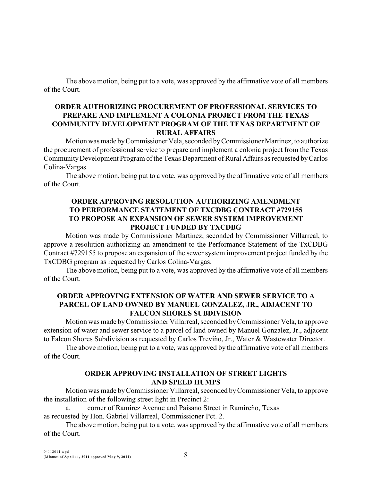The above motion, being put to a vote, was approved by the affirmative vote of all members of the Court.

## **ORDER AUTHORIZING PROCUREMENT OF PROFESSIONAL SERVICES TO PREPARE AND IMPLEMENT A COLONIA PROJECT FROM THE TEXAS COMMUNITY DEVELOPMENT PROGRAM OF THE TEXAS DEPARTMENT OF RURAL AFFAIRS**

Motion was made by Commissioner Vela, seconded by Commissioner Martinez, to authorize the procurement of professional service to prepare and implement a colonia project from the Texas CommunityDevelopment Program of the Texas Department of Rural Affairs as requested byCarlos Colina-Vargas.

The above motion, being put to a vote, was approved by the affirmative vote of all members of the Court.

## **ORDER APPROVING RESOLUTION AUTHORIZING AMENDMENT TO PERFORMANCE STATEMENT OF TXCDBG CONTRACT #729155 TO PROPOSE AN EXPANSION OF SEWER SYSTEM IMPROVEMENT PROJECT FUNDED BY TXCDBG**

Motion was made by Commissioner Martinez, seconded by Commissioner Villarreal, to approve a resolution authorizing an amendment to the Performance Statement of the TxCDBG Contract #729155 to propose an expansion of the sewer system improvement project funded by the TxCDBG program as requested by Carlos Colina-Vargas.

The above motion, being put to a vote, was approved by the affirmative vote of all members of the Court.

## **ORDER APPROVING EXTENSION OF WATER AND SEWER SERVICE TO A PARCEL OF LAND OWNED BY MANUEL GONZALEZ, JR., ADJACENT TO FALCON SHORES SUBDIVISION**

Motion was made byCommissioner Villarreal, seconded byCommissioner Vela, to approve extension of water and sewer service to a parcel of land owned by Manuel Gonzalez, Jr., adjacent to Falcon Shores Subdivision as requested by Carlos Treviño, Jr., Water & Wastewater Director.

The above motion, being put to a vote, was approved by the affirmative vote of all members of the Court.

### **ORDER APPROVING INSTALLATION OF STREET LIGHTS AND SPEED HUMPS**

Motion was made byCommissioner Villarreal, seconded byCommissioner Vela, to approve the installation of the following street light in Precinct 2:

a. corner of Ramirez Avenue and Paisano Street in Ramireño, Texas

as requested by Hon. Gabriel Villarreal, Commissioner Pct. 2.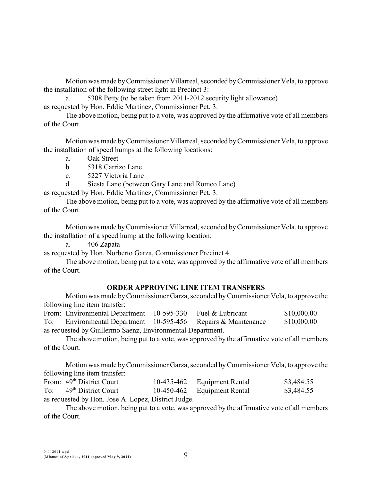Motion was made byCommissioner Villarreal, seconded byCommissioner Vela, to approve the installation of the following street light in Precinct 3:

a. 5308 Petty (to be taken from 2011-2012 security light allowance)

as requested by Hon. Eddie Martinez, Commissioner Pct. 3.

The above motion, being put to a vote, was approved by the affirmative vote of all members of the Court.

Motion was made byCommissioner Villarreal, seconded byCommissioner Vela, to approve the installation of speed humps at the following locations:

- a. Oak Street
- b. 5318 Carrizo Lane
- c. 5227 Victoria Lane
- d. Siesta Lane (between Gary Lane and Romeo Lane)

as requested by Hon. Eddie Martinez, Commissioner Pct. 3.

The above motion, being put to a vote, was approved by the affirmative vote of all members of the Court.

Motion was made byCommissioner Villarreal, seconded byCommissioner Vela, to approve the installation of a speed hump at the following location:

a. 406 Zapata

as requested by Hon. Norberto Garza, Commissioner Precinct 4.

The above motion, being put to a vote, was approved by the affirmative vote of all members of the Court.

#### **ORDER APPROVING LINE ITEM TRANSFERS**

Motion was made byCommissioner Garza, seconded byCommissioner Vela, to approve the following line item transfer:

From: Environmental Department 10-595-330 Fuel & Lubricant \$10,000.00 To: Environmental Department 10-595-456 Repairs & Maintenance \$10,000.00 as requested by Guillermo Saenz, Environmental Department.

The above motion, being put to a vote, was approved by the affirmative vote of all members of the Court.

Motion was made byCommissioner Garza, seconded byCommissioner Vela, to approve the following line item transfer:

|                                                     | From: 49 <sup>th</sup> District Court |  | 10-435-462 Equipment Rental | \$3,484.55 |  |
|-----------------------------------------------------|---------------------------------------|--|-----------------------------|------------|--|
| To:                                                 | 49 <sup>th</sup> District Court       |  | 10-450-462 Equipment Rental | \$3,484.55 |  |
| as requested by Hon. Jose A. Lopez, District Judge. |                                       |  |                             |            |  |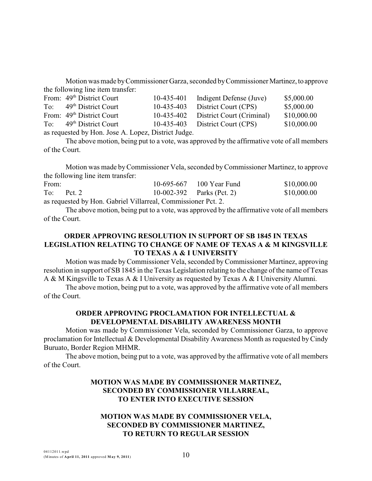Motion was made byCommissioner Garza, seconded byCommissioner Martinez,to approve the following line item transfer:

|                                                     | From: 49 <sup>th</sup> District Court | 10-435-401 | Indigent Defense (Juve)              | \$5,000.00  |
|-----------------------------------------------------|---------------------------------------|------------|--------------------------------------|-------------|
|                                                     | To: $49th$ District Court             | 10-435-403 | District Court (CPS)                 | \$5,000.00  |
|                                                     | From: 49 <sup>th</sup> District Court |            | 10-435-402 District Court (Criminal) | \$10,000.00 |
|                                                     | To: $49th$ District Court             |            | $10-435-403$ District Court (CPS)    | \$10,000.00 |
| as requested by Hon. Jose A. Lopez, District Judge. |                                       |            |                                      |             |

The above motion, being put to a vote, was approved by the affirmative vote of all members of the Court.

Motion was made byCommissioner Vela, seconded byCommissioner Martinez, to approve the following line item transfer:

| From: |              |                                     |                 | 10-695-667 100 Year Fund  | \$10,000.00 |
|-------|--------------|-------------------------------------|-----------------|---------------------------|-------------|
|       | $To:$ Pct. 2 |                                     |                 | 10-002-392 Parks (Pct. 2) | \$10,000.00 |
|       |              | $\sim$ 1 $\cdot$ 1 $\tau$ $\tau$ 11 | $\sim$ 1 $\sim$ |                           |             |

as requested by Hon. Gabriel Villarreal, Commissioner Pct. 2.

The above motion, being put to a vote, was approved by the affirmative vote of all members of the Court.

## **ORDER APPROVING RESOLUTION IN SUPPORT OF SB 1845 IN TEXAS LEGISLATION RELATING TO CHANGE OF NAME OF TEXAS A & M KINGSVILLE TO TEXAS A & I UNIVERSITY**

Motion was made byCommissioner Vela, seconded by Commissioner Martinez, approving resolution in support of SB 1845 in the Texas Legislation relating to the change of the name of Texas A & M Kingsville to Texas A & I University as requested by Texas A & I University Alumni.

The above motion, being put to a vote, was approved by the affirmative vote of all members of the Court.

# **ORDER APPROVING PROCLAMATION FOR INTELLECTUAL & DEVELOPMENTAL DISABILITY AWARENESS MONTH**

Motion was made by Commissioner Vela, seconded by Commissioner Garza, to approve proclamation for Intellectual & Developmental Disability Awareness Month as requested by Cindy Buruato, Border Region MHMR.

The above motion, being put to a vote, was approved by the affirmative vote of all members of the Court.

## **MOTION WAS MADE BY COMMISSIONER MARTINEZ, SECONDED BY COMMISSIONER VILLARREAL, TO ENTER INTO EXECUTIVE SESSION**

## **MOTION WAS MADE BY COMMISSIONER VELA, SECONDED BY COMMISSIONER MARTINEZ, TO RETURN TO REGULAR SESSION**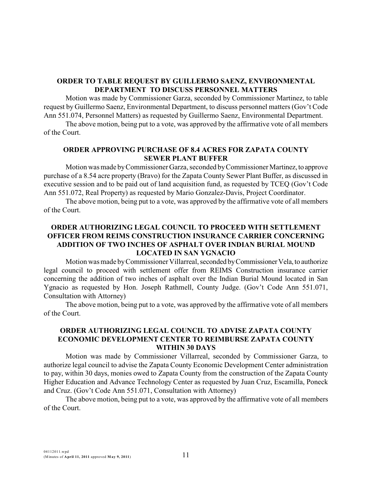### **ORDER TO TABLE REQUEST BY GUILLERMO SAENZ, ENVIRONMENTAL DEPARTMENT TO DISCUSS PERSONNEL MATTERS**

Motion was made by Commissioner Garza, seconded by Commissioner Martinez, to table request by Guillermo Saenz, Environmental Department, to discuss personnel matters (Gov't Code Ann 551.074, Personnel Matters) as requested by Guillermo Saenz, Environmental Department.

The above motion, being put to a vote, was approved by the affirmative vote of all members of the Court.

## **ORDER APPROVING PURCHASE OF 8.4 ACRES FOR ZAPATA COUNTY SEWER PLANT BUFFER**

Motion was made byCommissioner Garza, seconded byCommissioner Martinez,to approve purchase of a 8.54 acre property (Bravo) for the Zapata County Sewer Plant Buffer, as discussed in executive session and to be paid out of land acquisition fund, as requested by TCEQ (Gov't Code Ann 551.072, Real Property) as requested by Mario Gonzalez-Davis, Project Coordinator.

The above motion, being put to a vote, was approved by the affirmative vote of all members of the Court.

## **ORDER AUTHORIZING LEGAL COUNCIL TO PROCEED WITH SETTLEMENT OFFICER FROM REIMS CONSTRUCTION INSURANCE CARRIER CONCERNING ADDITION OF TWO INCHES OF ASPHALT OVER INDIAN BURIAL MOUND LOCATED IN SAN YGNACIO**

Motion was made by Commissioner Villarreal, seconded by Commissioner Vela, to authorize legal council to proceed with settlement offer from REIMS Construction insurance carrier concerning the addition of two inches of asphalt over the Indian Burial Mound located in San Ygnacio as requested by Hon. Joseph Rathmell, County Judge. (Gov't Code Ann 551.071, Consultation with Attorney)

The above motion, being put to a vote, was approved by the affirmative vote of all members of the Court.

#### **ORDER AUTHORIZING LEGAL COUNCIL TO ADVISE ZAPATA COUNTY ECONOMIC DEVELOPMENT CENTER TO REIMBURSE ZAPATA COUNTY WITHIN 30 DAYS**

Motion was made by Commissioner Villarreal, seconded by Commissioner Garza, to authorize legal council to advise the Zapata County Economic Development Center administration to pay, within 30 days, monies owed to Zapata County from the construction of the Zapata County Higher Education and Advance Technology Center as requested by Juan Cruz, Escamilla, Poneck and Cruz. (Gov't Code Ann 551.071, Consultation with Attorney)